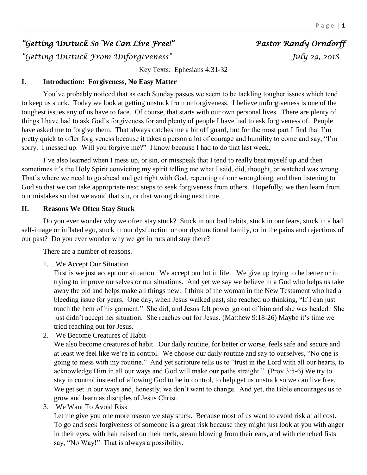# *"Getting Unstuck So We Can Live Free!" Pastor Randy Orndorff*

*"Getting Unstuck From Unforgiveness" July 29, 2018* 

Key Texts: Ephesians 4:31-32

# **I. Introduction: Forgiveness, No Easy Matter**

You've probably noticed that as each Sunday passes we seem to be tackling tougher issues which tend to keep us stuck. Today we look at getting unstuck from unforgiveness. I believe unforgiveness is one of the toughest issues any of us have to face. Of course, that starts with our own personal lives. There are plenty of things I have had to ask God's forgiveness for and plenty of people I have had to ask forgiveness of. People have asked me to forgive them. That always catches me a bit off guard, but for the most part I find that I'm pretty quick to offer forgiveness because it takes a person a lot of courage and humility to come and say, "I'm sorry. I messed up. Will you forgive me?" I know because I had to do that last week.

I've also learned when I mess up, or sin, or misspeak that I tend to really beat myself up and then sometimes it's the Holy Spirit convicting my spirit telling me what I said, did, thought, or watched was wrong. That's where we need to go ahead and get right with God, repenting of our wrongdoing, and then listening to God so that we can take appropriate next steps to seek forgiveness from others. Hopefully, we then learn from our mistakes so that we avoid that sin, or that wrong doing next time.

## **II. Reasons We Often Stay Stuck**

Do you ever wonder why we often stay stuck? Stuck in our bad habits, stuck in our fears, stuck in a bad self-image or inflated ego, stuck in our dysfunction or our dysfunctional family, or in the pains and rejections of our past? Do you ever wonder why we get in ruts and stay there?

There are a number of reasons.

1. We Accept Our Situation

First is we just accept our situation. We accept our lot in life. We give up trying to be better or in trying to improve ourselves or our situations. And yet we say we believe in a God who helps us take away the old and helps make all things new. I think of the woman in the New Testament who had a bleeding issue for years. One day, when Jesus walked past, she reached up thinking, "If I can just touch the hem of his garment." She did, and Jesus felt power go out of him and she was healed. She just didn't accept her situation. She reaches out for Jesus. (Matthew 9:18-26) Maybe it's time we tried reaching out for Jesus.

2. We Become Creatures of Habit

We also become creatures of habit. Our daily routine, for better or worse, feels safe and secure and at least we feel like we're in control. We choose our daily routine and say to ourselves, "No one is going to mess with my routine." And yet scripture tells us to "trust in the Lord with all our hearts, to acknowledge Him in all our ways and God will make our paths straight." (Prov 3:5-6) We try to stay in control instead of allowing God to be in control, to help get us unstuck so we can live free. We get set in our ways and, honestly, we don't want to change. And yet, the Bible encourages us to grow and learn as disciples of Jesus Christ.

3. We Want To Avoid Risk

Let me give you one more reason we stay stuck. Because most of us want to avoid risk at all cost. To go and seek forgiveness of someone is a great risk because they might just look at you with anger in their eyes, with hair raised on their neck, steam blowing from their ears, and with clenched fists say, "No Way!" That is always a possibility.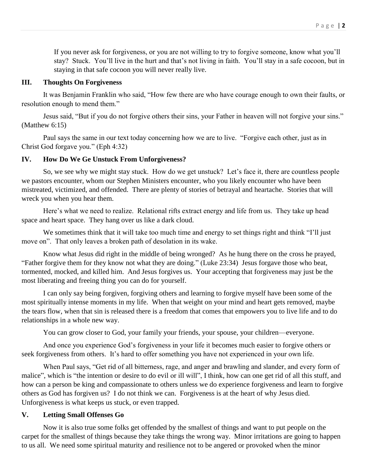If you never ask for forgiveness, or you are not willing to try to forgive someone, know what you'll stay? Stuck. You'll live in the hurt and that's not living in faith. You'll stay in a safe cocoon, but in staying in that safe cocoon you will never really live.

# **III. Thoughts On Forgiveness**

It was Benjamin Franklin who said, "How few there are who have courage enough to own their faults, or resolution enough to mend them."

Jesus said, "But if you do not forgive others their sins, your Father in heaven will not forgive your sins." (Matthew 6:15)

Paul says the same in our text today concerning how we are to live. "Forgive each other, just as in Christ God forgave you." (Eph 4:32)

# **IV. How Do We Ge Unstuck From Unforgiveness?**

So, we see why we might stay stuck. How do we get unstuck? Let's face it, there are countless people we pastors encounter, whom our Stephen Ministers encounter, who you likely encounter who have been mistreated, victimized, and offended. There are plenty of stories of betrayal and heartache. Stories that will wreck you when you hear them.

Here's what we need to realize. Relational rifts extract energy and life from us. They take up head space and heart space. They hang over us like a dark cloud.

We sometimes think that it will take too much time and energy to set things right and think "I'll just move on". That only leaves a broken path of desolation in its wake.

Know what Jesus did right in the middle of being wronged? As he hung there on the cross he prayed, "Father forgive them for they know not what they are doing." (Luke 23:34) Jesus forgave those who beat, tormented, mocked, and killed him. And Jesus forgives us. Your accepting that forgiveness may just be the most liberating and freeing thing you can do for yourself.

I can only say being forgiven, forgiving others and learning to forgive myself have been some of the most spiritually intense moments in my life. When that weight on your mind and heart gets removed, maybe the tears flow, when that sin is released there is a freedom that comes that empowers you to live life and to do relationships in a whole new way.

You can grow closer to God, your family your friends, your spouse, your children—everyone.

And once you experience God's forgiveness in your life it becomes much easier to forgive others or seek forgiveness from others. It's hard to offer something you have not experienced in your own life.

When Paul says, "Get rid of all bitterness, rage, and anger and brawling and slander, and every form of malice", which is "the intention or desire to do evil or ill will", I think, how can one get rid of all this stuff, and how can a person be king and compassionate to others unless we do experience forgiveness and learn to forgive others as God has forgiven us? I do not think we can. Forgiveness is at the heart of why Jesus died. Unforgiveness is what keeps us stuck, or even trapped.

# **V. Letting Small Offenses Go**

Now it is also true some folks get offended by the smallest of things and want to put people on the carpet for the smallest of things because they take things the wrong way. Minor irritations are going to happen to us all. We need some spiritual maturity and resilience not to be angered or provoked when the minor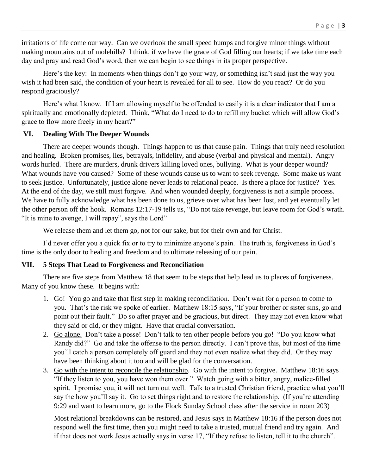irritations of life come our way. Can we overlook the small speed bumps and forgive minor things without making mountains out of molehills? I think, if we have the grace of God filling our hearts; if we take time each day and pray and read God's word, then we can begin to see things in its proper perspective.

Here's the key: In moments when things don't go your way, or something isn't said just the way you wish it had been said, the condition of your heart is revealed for all to see. How do you react? Or do you respond graciously?

Here's what I know. If I am allowing myself to be offended to easily it is a clear indicator that I am a spiritually and emotionally depleted. Think, "What do I need to do to refill my bucket which will allow God's grace to flow more freely in my heart?"

## **VI. Dealing With The Deeper Wounds**

There are deeper wounds though. Things happen to us that cause pain. Things that truly need resolution and healing. Broken promises, lies, betrayals, infidelity, and abuse (verbal and physical and mental). Angry words hurled. There are murders, drunk drivers killing loved ones, bullying. What is your deeper wound? What wounds have you caused? Some of these wounds cause us to want to seek revenge. Some make us want to seek justice. Unfortunately, justice alone never leads to relational peace. Is there a place for justice? Yes. At the end of the day, we still must forgive. And when wounded deeply, forgiveness is not a simple process. We have to fully acknowledge what has been done to us, grieve over what has been lost, and yet eventually let the other person off the hook. Romans 12:17-19 tells us, "Do not take revenge, but leave room for God's wrath. "It is mine to avenge, I will repay", says the Lord"

We release them and let them go, not for our sake, but for their own and for Christ.

I'd never offer you a quick fix or to try to minimize anyone's pain. The truth is, forgiveness in God's time is the only door to healing and freedom and to ultimate releasing of our pain.

## **VII. 5 Steps That Lead to Forgiveness and Reconciliation**

There are five steps from Matthew 18 that seem to be steps that help lead us to places of forgiveness. Many of you know these. It begins with:

- 1. Go! You go and take that first step in making reconciliation. Don't wait for a person to come to you. That's the risk we spoke of earlier. Matthew 18:15 says, "If your brother or sister sins, go and point out their fault." Do so after prayer and be gracious, but direct. They may not even know what they said or did, or they might. Have that crucial conversation.
- 2. Go alone. Don't take a posse! Don't talk to ten other people before you go! "Do you know what Randy did?" Go and take the offense to the person directly. I can't prove this, but most of the time you'll catch a person completely off guard and they not even realize what they did. Or they may have been thinking about it too and will be glad for the conversation.
- 3. Go with the intent to reconcile the relationship. Go with the intent to forgive. Matthew 18:16 says "If they listen to you, you have won them over." Watch going with a bitter, angry, malice-filled spirit. I promise you, it will not turn out well. Talk to a trusted Christian friend, practice what you'll say the how you'll say it. Go to set things right and to restore the relationship. (If you're attending 9:29 and want to learn more, go to the Flock Sunday School class after the service in room 203)

Most relational breakdowns can be restored, and Jesus says in Matthew 18:16 if the person does not respond well the first time, then you might need to take a trusted, mutual friend and try again. And if that does not work Jesus actually says in verse 17, "If they refuse to listen, tell it to the church".